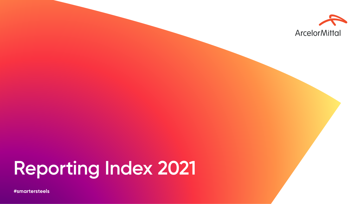

# **Reporting Index 2021**

**#smartersteels**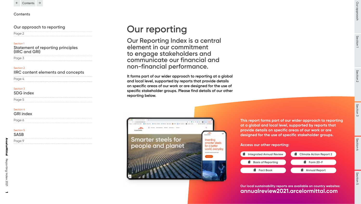#### <span id="page-1-0"></span>**Contents**

## **[Our approach to reporting](#page-2-0)**

| ∽     |  |
|-------|--|
| .<br> |  |

#### Section 1

**[Statement of reporting principles](#page-3-0)  [\(IIRC and GRI\)](#page-3-0)** [Page 3](#page-3-0)

#### Section 2

| IIRC content elements and concepts |  |
|------------------------------------|--|
| Page 4                             |  |

#### Section 3

| <b>SDG</b> index |  |
|------------------|--|
| Page 5           |  |

#### Section 4

**[GRI index](#page-6-0)** [Page 6](#page-6-0)

#### Section 5 **[SASB](#page-9-0)**

| <b>SASB</b> |  |
|-------------|--|
| Page 9      |  |
|             |  |

## **Our reporting**

**Our Reporting Index is a central element in our commitment to engage stakeholders and communicate our financial and non-financial performance.**

**It forms part of our wider approach to reporting at a global and local level, supported by reports that provide details on specific areas of our work or are designed for the use of specific stakeholder groups. Please find details of our other reporting below.**



**This report forms part of our wider approach to reporting at a global and local level, supported by reports that provide details on specific areas of our work or are designed for the use of specific stakeholder groups.** 

#### **Access our other reporting:**



**Our local sustainability reports are available on country websites: [annualreview2021.arcelormittal.com](https://www.annualreview2021.arcelormittal.com)**

2021

Reporting Index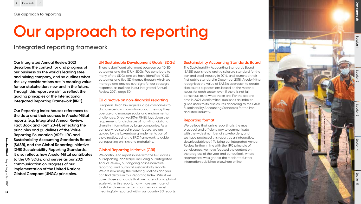# <span id="page-2-0"></span>**Our approach to reporting**

### **Integrated reporting framework**

**Our Integrated Annual Review 2021 describes the context for and progress of our business as the world's leading steel and mining company, and so outlines what the key considerations are in creating value for our stakeholders now and in the future. Through this report we aim to reflect the guiding principles of the International Integrated Reporting Framework (IIRC).** 

**Our Reporting Index houses references to the data and their sources in ArcelorMittal reports (e.g. Integrated Annual Review, Fact Book and Form 20-F), reflecting the principles and guidelines of the Value Reporting Foundation (VRF): IIRC and Sustainability Accounting Standards Board (SASB), and the Global Reporting Initiative (GRI) Sustainability Reporting Standards. It also reflects how ArcelorMittal contributes to the UN SDGs, and serves as our 2021 communication on progress of our implementation of the United Nations Global Compact (UNGC) principles.**

#### **UN Sustainable Development Goals (SDGs)**

There is significant alignment between our 10 SD outcomes and the 17 UN SDGs. We contribute to many of the SDGs and we have identified 10 SD outcomes and five SD themes through which we manage and provide oversight for our strategic response, as outlined in our [Integrated Annual](https://corporate-media.arcelormittal.com/media/bg1n545s/arcelor-mittal-integrated-annual-review-2021.pdf)  [Review 2021, page 50.](https://corporate-media.arcelormittal.com/media/bg1n545s/arcelor-mittal-integrated-annual-review-2021.pdf)

#### **EU directive on non-financial reporting**

European Union law requires large companies to disclose certain information about the way they operate and manage social and environmental challenges. Directive 2014/95/EU lays down the requirement for disclosure of non-financial and diversity information by large companies. As a company registered in Luxembourg, we are guided by the Luxembourg implementation of the directive, using the IIRC framework to guide our reporting on risks and materiality.

#### **Global Reporting Initiative (GRI)**

We continue to report in line with the GRI across our reporting landscape, including our Integrated Annual Review, our ongoing online narrative reporting, and our local sustainability reports. We are now using their latest guidelines and you can find details in this Reporting Index. Whilst we cover those standards that are material on a global scale within this report, many more are material to stakeholders in certain countries, and most meaningfully reported within our country SD reports.

#### **Sustainability Accounting Standards Board**

The Sustainability Accounting Standards Board (SASB) published a draft disclosure standard for the iron and steel industry in 2014, and launched their first public standard in December 2018. ArcelorMittal recognises the value of SASB's approach to create disclosures expectations based on the material issues for each sector, even if there is not full consensus as to what these are. For the second time in 2021, ArcelorMittal publishes an index to guide users to its disclosures according to the SASB Sustainability Accounting Standards for the iron and steel industry.

#### **Reporting format**

We believe that online reporting is the most practical and efficient way to communicate with the widest number of stakeholders, and we have produced this report as an interactive, downloadable pdf. To bring our Integrated Annual Review further in line with the IIRC principle of conciseness, we have focused the content on the progress of the year and our outlook; where appropriate, we signpost the reader to further information published elsewhere online.

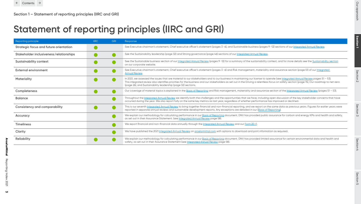# <span id="page-3-0"></span>**Statement of reporting principles (IIRC and GRI)**

| <b>Reporting principle</b>              | <b>IIRC</b> | GRI | Response                                                                                                                                                                                                                                                                                                                                                                                                                                   |
|-----------------------------------------|-------------|-----|--------------------------------------------------------------------------------------------------------------------------------------------------------------------------------------------------------------------------------------------------------------------------------------------------------------------------------------------------------------------------------------------------------------------------------------------|
| Strategic focus and future orientation  |             |     | See Executive chairman's statement, Chief executive officer's statement (pages 3-6), and Sustainable business (pages 9-12) sections of our Integrated Annual Review.                                                                                                                                                                                                                                                                       |
| Stakeholder inclusiveness/relationships |             |     | See the Sustainability leadership (page 32) and Strong governance (page 46) sections of our Integrated Annual Review.                                                                                                                                                                                                                                                                                                                      |
| <b>Sustainability context</b>           |             |     | See the Sustainable business section of our Integrated Annual Review (pages 9-12) for a summary of the sustainability context, and for more details see the Sustainability section<br>on our corporate website.                                                                                                                                                                                                                            |
| <b>External environment</b>             |             |     | See Executive chairman's statement, Chief executive officer's statement (pages 3-6) and Risk management, materiality and assurance section (page 51) of our Integrated<br><b>Annual Review.</b>                                                                                                                                                                                                                                            |
| <b>Materiality</b>                      |             |     | In 2021, we assessed the issues that are material to our stakeholders and to our business in maintaining our license to operate (see Integrated Annual Review pages 51 - 53).<br>This integrated review also identifies priorities for the business and our stakeholders as set out in the Driving a relentless focus on safety section (page 15), Our roadmap to net-zero<br>(page 26), and Sustainability leadership (page 32) sections. |
| Completeness                            |             |     | Our coverage of material topics is explained in the Basis of Reporting and Risk management, materiality and assurance section of the Integrated Annual Review (pages 51 - 53).                                                                                                                                                                                                                                                             |
| <b>Balance</b>                          |             |     | Throughout the Integrated Annual Review we identify both the challenges and the opportunities that we face, including open discussion of the key stakeholder concerns that have<br>occurred during the year. We also report fully on the same key metrics as last year, regardless of whether performance has improved or declined.                                                                                                        |
| <b>Consistency and comparability</b>    |             |     | This is our seventh Integrated Annual Review to bring together financial and non-financial reporting, and we report on the same data as previous years. Figures for earlier years were<br>reported in separate annual reviews and sustainable development reports. Any exceptions are detailed in our (Basis of Reporting).                                                                                                                |
| Accuracy                                |             |     | We explain our methodology for calculating performance in our Basis of Reporting document. DNV has provided public assurance for carbon and energy KPIs and health and safety,<br>as set out in their Assurance Statement. (see Integrated Annual Review page 58).                                                                                                                                                                         |
| <b>Timeliness</b>                       |             |     | We report financial and non-financial data annually through the Integrated Annual Review and our Form 20-F.                                                                                                                                                                                                                                                                                                                                |
| Clarity                                 |             |     | We have published the 2021 Integrated Annual Review on arcelormittal.com with options to download and print information as required.                                                                                                                                                                                                                                                                                                       |
| Reliability                             |             |     | We explain our methodology for calculating performance in our Basis of Reporting document. DNV has provided limited assurance for certain environmental data and health and<br>safety, as set out in their Assurance Statement (see Integrated Annual Review page 58).                                                                                                                                                                     |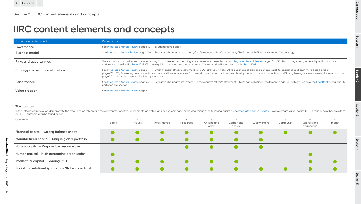## <span id="page-4-0"></span>**IIRC content elements and concepts**

| Content element/concept          | Our response                                                                                                                                                                                                                                                                                                                                                                                                                                                  |
|----------------------------------|---------------------------------------------------------------------------------------------------------------------------------------------------------------------------------------------------------------------------------------------------------------------------------------------------------------------------------------------------------------------------------------------------------------------------------------------------------------|
| Governance                       | See Integrated Annual Review pages 40 - 45: Strong governance.                                                                                                                                                                                                                                                                                                                                                                                                |
| <b>Business model</b>            | See Integrated Annual Review pages 3 - 11: Executive chairman's statement, Chief executive officer's statement, Chief financial officer's statement, Our strategy.                                                                                                                                                                                                                                                                                            |
| <b>Risks and opportunities</b>   | The risk and opportunities we consider arising from our external operating environment are presented in our Integrated Annual Review pages 51 - 53: Risk management, materiality and assurance,<br>and in more detail in the Form 20-F. We also explain our climate-related risks in our Climate Action Report 2 and in the Form 20-F.                                                                                                                        |
| Strategy and resource allocation | See Integrated Annual Review pages 3 - 11: Chief financial officer's statement, and Our strategy which outline our financial plan and our approach to capital allocation in more detail; and on<br>pages 20 - 25. Pioneering new products, solutions and business models for a smart transition sets out our new developments in product innovation; and Strengthening our environmental stewardship on<br>page 34 outlines our sustainable development plan. |
| Performance                      | See Integrated Annual Review pages 3 - 11: Executive chairman's statement, Chief executive officer's statement, Chief financial officer's statement, and Our strategy. See also the Fact Book Sustainability<br>performance section.                                                                                                                                                                                                                          |
| Value creation                   | See Integrated Annual Review pages 12 - 13.                                                                                                                                                                                                                                                                                                                                                                                                                   |

#### **The capitals**

In this integrated review, we demonstrate the resources we rely on and the different forms of value we create as a steel and mining company, expressed through the following capitals, see [Integrated Annual Review](https://corporate-media.arcelormittal.com/media/bg1n545s/arcelor-mittal-integrated-annual-review-2021.pdf), How we cr our 10 SD outcomes can be found below.

| Outcomes                                            | People | Products | Infrastructure | Resources | Air, land and<br>water | Carbon and<br>energy | Supply chains | 8<br>Community | Scientist and<br>engineering | 10<br>Impact |
|-----------------------------------------------------|--------|----------|----------------|-----------|------------------------|----------------------|---------------|----------------|------------------------------|--------------|
| Financial capital - Strong balance sheet            |        |          |                |           |                        |                      |               |                |                              |              |
| Manufactured capital - Unique global portfolio      |        |          |                |           |                        |                      |               |                |                              |              |
| Natural capital - Responsible resource use          |        |          |                |           |                        |                      |               |                |                              |              |
| Human capital - High performing organisation        |        |          |                |           |                        |                      |               |                |                              |              |
| Intellectual capital - Leading R&D                  |        |          |                |           |                        |                      |               |                |                              |              |
| Social and relationship capital - Stakeholder trust |        |          |                |           |                        |                      |               |                |                              |              |

A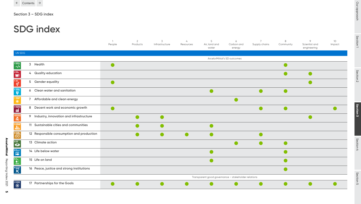## <span id="page-5-0"></span>**SDG index**

|                                                                                                                                                                                                                                                                                                                                                                                                                                          |                                               | $\overline{1}$<br>People | $\overline{2}$<br>Products | 3<br>Infrastructure | $\overline{4}$<br>Resources | 5<br>Air, land and<br>water                         | 6<br>Carbon and<br>energy | $7^{\circ}$<br>Supply chains | $\,8\,$<br>Community | $\circ$<br>Scientist and<br>engineering | 10 <sup>°</sup><br>Impact |
|------------------------------------------------------------------------------------------------------------------------------------------------------------------------------------------------------------------------------------------------------------------------------------------------------------------------------------------------------------------------------------------------------------------------------------------|-----------------------------------------------|--------------------------|----------------------------|---------------------|-----------------------------|-----------------------------------------------------|---------------------------|------------------------------|----------------------|-----------------------------------------|---------------------------|
| UN SDG                                                                                                                                                                                                                                                                                                                                                                                                                                   |                                               |                          |                            |                     |                             |                                                     |                           |                              |                      |                                         |                           |
|                                                                                                                                                                                                                                                                                                                                                                                                                                          |                                               |                          |                            |                     |                             | ArcelorMittal's SD outcomes                         |                           |                              |                      |                                         |                           |
| $\begin{array}{c c}\n3 & \text{WDEERW} \\ \hline\n-\sqrt{\blacklozenge}\n\end{array}$                                                                                                                                                                                                                                                                                                                                                    | 3 Health                                      |                          |                            |                     |                             |                                                     |                           |                              |                      |                                         |                           |
|                                                                                                                                                                                                                                                                                                                                                                                                                                          | 4 Quality education                           |                          |                            |                     |                             |                                                     |                           |                              |                      |                                         |                           |
|                                                                                                                                                                                                                                                                                                                                                                                                                                          | 5 Gender equality                             |                          |                            |                     |                             |                                                     |                           |                              |                      |                                         |                           |
| $\begin{array}{c c c c} \hline \text{4} & \text{out} & \text{4} & \text{out} \\ \hline \text{5} & \text{out} & \text{4} & \text{4} & \text{4} \\ \hline \text{6} & \text{out} & \text{4} & \text{4} & \text{4} \\ \hline \text{7} & \text{6} & \text{6} & \text{6} & \text{6} \\ \hline \text{8} & \text{6} & \text{6} & \text{6} & \text{6} \\ \hline \text{9} & \text{10} & \text{11} & \text{12} & \text{13} \\ \hline \text{10} & \$ | 6 Clean water and sanitation                  |                          |                            |                     |                             |                                                     |                           |                              |                      |                                         |                           |
| $7 \max_{\text{maxmax}}$                                                                                                                                                                                                                                                                                                                                                                                                                 | Affordable and clean energy<br>$\overline{7}$ |                          |                            |                     |                             |                                                     |                           |                              |                      |                                         |                           |
| B DESIGNATION                                                                                                                                                                                                                                                                                                                                                                                                                            | 8 Decent work and economic growth             |                          |                            |                     |                             |                                                     |                           |                              |                      |                                         |                           |
|                                                                                                                                                                                                                                                                                                                                                                                                                                          | 9 Industry, innovation and infrastructure     |                          |                            |                     |                             |                                                     |                           |                              |                      |                                         |                           |
| $\begin{array}{c}\n\hline\n11 \\ \hline\n\end{array}\n\begin{array}{c}\n\hline\n\end{array}\n\end{array}\n\begin{array}{c}\n\hline\n\end{array}\n\begin{array}{c}\n\hline\n\end{array}\n\end{array}\n\begin{array}{c}\n\hline\n\end{array}\n\begin{array}{c}\n\hline\n\end{array}\n\end{array}\n\begin{array}{c}\n\hline\n\end{array}\n\begin{array}{c}\n\hline\n\end{array}\n\end{array}$                                               | 11 Sustainable cities and communities         |                          |                            |                     |                             |                                                     |                           |                              |                      |                                         |                           |
|                                                                                                                                                                                                                                                                                                                                                                                                                                          | 12 Responsible consumption and production     |                          |                            |                     |                             |                                                     |                           |                              |                      |                                         |                           |
| $\begin{array}{c}\n\hline\n\text{HOM} \\ \hline\n\text{HOM} \\ \hline\n\end{array}$                                                                                                                                                                                                                                                                                                                                                      | 13 Climate action                             |                          |                            |                     |                             |                                                     |                           |                              |                      |                                         |                           |
| $\begin{array}{c}\n 14 \frac{\text{Uff}}{\text{Kiliwants}} \\  \begin{array}{c}\n \text{Weyl} \\  \hline\n \text{Weyl} \\  \hline\n \text{Weyl} \\  \hline\n \end{array}\n \end{array}$                                                                                                                                                                                                                                                  | 14 Life below water                           |                          |                            |                     |                             |                                                     |                           |                              |                      |                                         |                           |
| $\begin{array}{c}\n15 \frac{18}{3000} \\ -2\n\end{array}$                                                                                                                                                                                                                                                                                                                                                                                | 15 Life on land                               |                          |                            |                     |                             |                                                     |                           |                              |                      |                                         |                           |
| $\begin{picture}(180,10) \put(0,0){\line(1,0){10}} \put(10,0){\line(1,0){10}} \put(10,0){\line(1,0){10}} \put(10,0){\line(1,0){10}} \put(10,0){\line(1,0){10}} \put(10,0){\line(1,0){10}} \put(10,0){\line(1,0){10}} \put(10,0){\line(1,0){10}} \put(10,0){\line(1,0){10}} \put(10,0){\line(1,0){10}} \put(10,0){\line(1,0){10}} \put(10,0){\line($                                                                                      | 16 Peace, justice and strong institutions     |                          |                            |                     |                             |                                                     |                           |                              |                      |                                         |                           |
|                                                                                                                                                                                                                                                                                                                                                                                                                                          |                                               |                          |                            |                     |                             | Transparent good governance - stakeholder relations |                           |                              |                      |                                         |                           |
| $\begin{picture}(120,110) \put(0,0){\line(1,0){10}} \put(15,0){\line(1,0){10}} \put(15,0){\line(1,0){10}} \put(15,0){\line(1,0){10}} \put(15,0){\line(1,0){10}} \put(15,0){\line(1,0){10}} \put(15,0){\line(1,0){10}} \put(15,0){\line(1,0){10}} \put(15,0){\line(1,0){10}} \put(15,0){\line(1,0){10}} \put(15,0){\line(1,0){10}} \put(15,0){\line$                                                                                      | 17 Partnerships for the Goals                 |                          |                            |                     |                             |                                                     |                           |                              |                      |                                         |                           |

ArcelorMittal Reporting Index 2021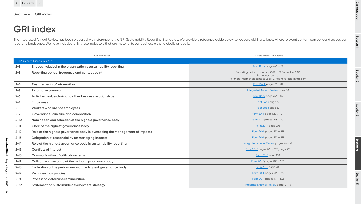#### <span id="page-6-0"></span>**Section 4 – GRI index**

## **GRI index**

The Integrated Annual Review has been prepared with reference to the GRI Sustainability Reporting Standards. We provide a reference guide below to readers wishing to know where relevant content can be found across our reporting landscape. We have included only those indicators that are material to our business either globally or locally.

|          | <b>GRI</b> indicator                                                        | <b>ArcelorMittal Disclosure</b>                                                                                                           |
|----------|-----------------------------------------------------------------------------|-------------------------------------------------------------------------------------------------------------------------------------------|
|          | GRI 2: General Disclosures 2021                                             |                                                                                                                                           |
| $2 - 2$  | Entities included in the organization's sustainability reporting            | Fact Book pages 40 - 51                                                                                                                   |
| $2 - 3$  | Reporting period, frequency and contact point                               | Reporting period: 1 January 2021 to 31 December 2021<br>Frequency: annual<br>For more information contact us at: CRteam@arcelormittal.com |
| $2 - 4$  | <b>Restatements of information</b>                                          | Fact Book pages 29 - 31                                                                                                                   |
| $2 - 5$  | <b>External assurance</b>                                                   | <b>Integrated Annual Review page 58</b>                                                                                                   |
| $2 - 6$  | Activities, value chain and other business relationships                    | Fact Book pages 56 - 89                                                                                                                   |
| $2 - 7$  | <b>Employees</b>                                                            | Fact Book page 29                                                                                                                         |
| $2 - 8$  | Workers who are not employees                                               | Fact Book page 29                                                                                                                         |
| $2 - 9$  | Governance structure and composition                                        | Form 20-F pages 205 - 211                                                                                                                 |
| $2 - 10$ | Nomination and selection of the highest governance body                     | Form 20-F pages 206 - 207                                                                                                                 |
| $2 - 11$ | Chair of the highest governance body                                        | Form 20-F page 205                                                                                                                        |
| $2 - 12$ | Role of the highest governance body in overseeing the management of impacts | Form 20-F pages 210 - 211                                                                                                                 |
| $2 - 13$ | Delegation of responsibility for managing impacts                           | Form 20-F pages 210 - 211                                                                                                                 |
| $2 - 14$ | Role of the highest governance body in sustainability reporting             | Integrated Annual Review pages 46 - 49                                                                                                    |
| $2 - 15$ | <b>Conflicts of interest</b>                                                | Form 20-F pages 206 - 207, page 213                                                                                                       |
| $2 - 16$ | <b>Communication of critical concerns</b>                                   | Form 20-F page 210                                                                                                                        |
| $2 - 17$ | Collective knowledge of the highest governance body                         | Form 20-F pages 208 - 209                                                                                                                 |
| $2 - 18$ | Evaluation of the performance of the highest governance body                | Form 20-F page 208                                                                                                                        |
| $2 - 19$ | <b>Remuneration policies</b>                                                | Form 20-F pages 186 - 196                                                                                                                 |
| $2 - 20$ | Process to determine remuneration                                           | Form 20-F pages 191 - 192                                                                                                                 |
| $2 - 22$ | Statement on sustainable development strategy                               | Integrated Annual Review pages 3 - 6                                                                                                      |

2021

elorMittal

Reporting Index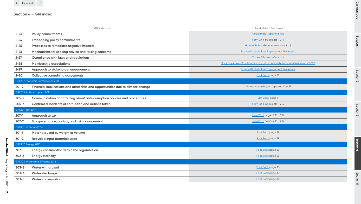|                      | <b>GRI</b> indicator                                                           | ArcelorMittal Disclosure                                                     |
|----------------------|--------------------------------------------------------------------------------|------------------------------------------------------------------------------|
| $2 - 23$             | <b>Policy commitments</b>                                                      | <b>ArcelorMittal reporting hub</b>                                           |
| $2 - 24$             | <b>Embedding policy commitments</b>                                            | Form 20-F pages 213 - 214                                                    |
| $2 - 25$             | Processes to remediate negative impacts                                        | Human Rights (Grievance mechanism)                                           |
| $2 - 26$             | Mechanisms for seeking advice and raising concerns                             | <b>External Stakeholder Engagement Procedure</b>                             |
| $2 - 27$             | <b>Compliance with laws and regulations</b>                                    | <b>Code of Business Conduct</b>                                              |
| $2 - 28$             | <b>Membership associations</b>                                                 | Mapping ArcelorMittal's advocacy alignment with the goal of net zero by 2050 |
| $2 - 29$             | Approach to stakeholder engagement                                             | <b>External Stakeholder Engagement Procedure</b>                             |
| $2 - 30$             | <b>Collective bargaining agreements</b>                                        | Fact Book page 29                                                            |
|                      | GRI 201: Economic Performance 2016                                             |                                                                              |
| $201 - 2$            | Financial implications and other risks and opportunities due to climate change | Climate Action Report 2 pages 42 - 39                                        |
|                      | GRI 205: Anti-corruption 2016                                                  |                                                                              |
| $205 - 2$            | Communication and training about anti-corruption policies and procedures       | Fact Book page 31                                                            |
| $205 - 3$            | Confirmed incidents of corruption and actions taken                            | Form 20-F pages 213 - 214                                                    |
| GRI 207: Tax 2019    |                                                                                |                                                                              |
| $207 - 1$            | Approach to tax                                                                | Form 20-F pages 233 - 237                                                    |
| $207 - 2$            | Tax governance, control, and risk management                                   | Form 20-F pages 233 - 239                                                    |
|                      | GRI 301: Materials 2016                                                        |                                                                              |
| $301 - 1$            | Materials used by weight or volume                                             | Fact Book page 29                                                            |
| $301 - 2$            | Recycled input materials used                                                  | Fact Book page 29                                                            |
| GRI 302: Energy 2016 |                                                                                |                                                                              |
| $302 - 1$            | Energy consumption within the organization                                     | Fact Book page 30                                                            |
| $302 - 3$            | <b>Energy intensity</b>                                                        | Fact Book page 30                                                            |
|                      | GRI 303: Water and Effluents 2018                                              |                                                                              |
| $303 - 3$            | <b>Water withdrawal</b>                                                        | Fact Book page 30                                                            |
| $303 - 4$            | Water discharge                                                                | Fact Book page 30                                                            |
| $303 - 5$            | <b>Water consumption</b>                                                       | Fact Book page 30                                                            |

[Our approach](#page-2-0)

Our approach

ArcelorMittal Reporting Index 2021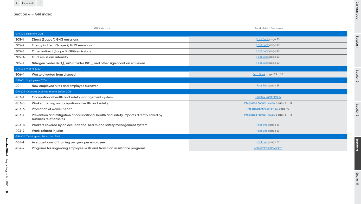|                     | <b>GRI</b> indicator                                                                                             | <b>ArcelorMittal Disclosure</b>         |  |  |  |
|---------------------|------------------------------------------------------------------------------------------------------------------|-----------------------------------------|--|--|--|
|                     | GRI 305: Emissions 2016                                                                                          |                                         |  |  |  |
| $305 - 1$           | Direct (Scope 1) GHG emissions                                                                                   | Fact Book page 30                       |  |  |  |
| $305 - 2$           | Energy indirect (Scope 2) GHG emissions                                                                          | Fact Book page 30                       |  |  |  |
| $305 - 3$           | Other indirect (Scope 3) GHG emissions                                                                           | Fact Book page 30                       |  |  |  |
| $305 - 4$           | <b>GHG emissions intensity</b>                                                                                   | Fact Book page 30                       |  |  |  |
| $305 - 7$           | Nitrogen oxides (NO <sub>v</sub> ), sulfur oxides (SO <sub>v</sub> ), and other significant air emissions        | Fact Book page 30                       |  |  |  |
| GRI 306: Waste 2020 |                                                                                                                  |                                         |  |  |  |
| $306 - 4$           | Waste diverted from disposal                                                                                     | Fact Book pages 29 - 30                 |  |  |  |
|                     | GRI 401: Employment 2016                                                                                         |                                         |  |  |  |
| $401 - 1$           | New employee hires and employee turnover                                                                         | Fact Book page 29                       |  |  |  |
|                     | GRI 403: Occupational Health and Safety 2018                                                                     |                                         |  |  |  |
| $403 - 1$           | Occupational health and safety management system                                                                 | <b>Health &amp; Safety Policy</b>       |  |  |  |
| $403 - 5$           | Worker training on occupational health and safety                                                                | Integrated Annual Review pages 15 - 18  |  |  |  |
| $403 - 6$           | Promotion of worker health                                                                                       | <b>Integrated Annual Review page 40</b> |  |  |  |
| $403 - 7$           | Prevention and mitigation of occupational health and safety impacts directly linked by<br>business relationships | Integrated Annual Review pages 15 - 18  |  |  |  |
| $403 - 8$           | Workers covered by an occupational health and safety management system                                           | Fact Book page 29                       |  |  |  |
| $403 - 9$           | Work-related injuries                                                                                            | Fact Book page 29                       |  |  |  |
|                     | GRI 404: Training and Education 2016                                                                             |                                         |  |  |  |
| $404 - 1$           | Average hours of training per year per employee                                                                  | Fact Book page 29                       |  |  |  |
| $404 - 2$           | Programs for upgrading employee skills and transition assistance programs                                        | <b>ArcelorMittal University</b>         |  |  |  |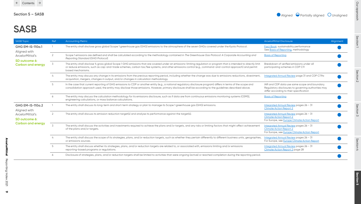### <span id="page-9-0"></span>**Section 5 – SASB**

## **SASB**

**9 ArcelorMittal** Reporting Index 2021

Reporting Index 2021

 $\bullet$ 

ArcelorMittal

| <b>SASB Topic</b>                       | Ref | <b>Accounting Metric</b>                                                                                                                                                                                                                                                                                                                             | <b>ArcelorMittal Disclosure</b>                                                                                                                 | Alignment |
|-----------------------------------------|-----|------------------------------------------------------------------------------------------------------------------------------------------------------------------------------------------------------------------------------------------------------------------------------------------------------------------------------------------------------|-------------------------------------------------------------------------------------------------------------------------------------------------|-----------|
| <b>GHG EM-IS-110a.1</b><br>Aligned with |     | The entity shall disclose gross global Scope 1 greenhouse gas (GHG) emissions to the atmosphere of the seven GHGs covered under the Kyoto Protocol.                                                                                                                                                                                                  | Fact Book: sustainability performance<br>See Basis of Reporting, methodology                                                                    |           |
| ArcelorMittal's<br>SD outcome 6:        |     | Scope 1 emissions are defined and shall be calculated according to the methodology contained in The Greenhouse Gas Protocol: A Corporate Accounting and<br>Reporting Standard (GHG Protocol).                                                                                                                                                        | <b>Basis of Reporting</b>                                                                                                                       |           |
| <b>Carbon and energy</b>                |     | The entity shall disclose % gross global Scope 1 GHG emissions that are covered under an emissions-limiting regulation or program that is intended to directly limit<br>or reduce emissions, such as cap-and-trade schemes, carbon tax/fee systems, and other emissions control (e.g., command-and-control approach) and permit<br>based mechanisms. | Breakdown of verified emissions under all<br>participating schemes in CDP C11                                                                   |           |
|                                         |     | The entity may discuss any change in its emissions from the previous reporting period, including whether the change was due to emissions reductions, divestment,<br>acquisition, mergers, changes in output, and/or changes in calculation methodology.                                                                                              | Integrated Annual Review page 31 and CDP C7.9a                                                                                                  |           |
|                                         |     | In the case that current reporting of GHG emissions to CDP or another entity (e.g., a national regulatory disclosure program) differs in terms of the scope and<br>consolidation approach used, the entity may disclose those emissions. However, primary disclosure shall be according to the guidelines described above.                           | IAR and CDP data use same scope and boundary.<br>Regulatory disclosures to governing authorities may<br>differ according to their specification |           |
|                                         | 6   | The entity may discuss the calculation methodology for its emissions disclosure, such as if data are from continuous emissions monitoring systems (CEMS),<br>engineering calculations, or mass balance calculations.                                                                                                                                 | <b>Basis of Reporting</b>                                                                                                                       |           |
| GHG EM-IS-110a.2<br>Aligned with        |     | The entity shall discuss its long-term and short-term strategy or plan to manage its Scope 1 greenhouse gas (GHG) emissions.                                                                                                                                                                                                                         | Integrated Annual Review pages 26 - 31<br><b>Climate Action Report 2</b>                                                                        |           |
| ArcelorMittal's                         |     | The entity shall discuss its emission reduction target(s) and analyse its performance against the target(s).                                                                                                                                                                                                                                         | Integrated Annual Review pages 26 - 31                                                                                                          |           |
| SD outcome 6:                           |     |                                                                                                                                                                                                                                                                                                                                                      | <b>Climate Action Report 2</b><br>For Europe, see Europe Climate Action Report                                                                  |           |
| <b>Carbon and energy</b>                |     | The entity shall discuss the activities and investments required to achieve the plans and/or targets, and any risks or limiting factors that might affect achievement<br>of the plans and/or targets.                                                                                                                                                | Integrated Annual Review pages 26 - 31<br><b>Climate Action Report 2</b><br>For Europe, see Europe Climate Action Report                        |           |
|                                         |     | The entity shall discuss the scope of its strategies, plans, and/or reduction targets, such as whether they pertain differently to different business units, geographies,<br>or emissions sources.                                                                                                                                                   | Integrated Annual Review pages 26 - 31<br>For Europe, see Europe Climate Action Report                                                          |           |
|                                         |     | The entity shall discuss whether its strategies, plans, and/or reduction targets are related to, or associated with, emissions limiting and/or emissions<br>reporting-based programs or regulations.                                                                                                                                                 | Integrated Annual Review pages 26 - 31<br>Climate Action Report 2 page 28                                                                       |           |
|                                         |     | Disclosure of strategies, plans, and/or reduction targets shall be limited to activities that were ongoing (active) or reached completion during the reporting period.                                                                                                                                                                               |                                                                                                                                                 |           |

Section 1

Section 1 Section 2 Section 2 [Section 3](#page-5-0)

Section 2

[Section 2](#page-4-0) Section 2 Section 2 Section 2 Section 2

Section 3

Section 4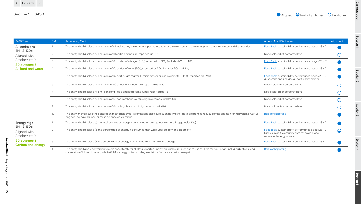| δē<br>Ğ |
|---------|

[Our approach](#page-2-0)

Our approach

| <b>SASB Topic</b>                  | Ref             | <b>Accounting Metric</b>                                                                                                                                                                                                                                                           | <b>ArcelorMittal Disclosure</b>                                                                                                   | Alignment                                       |
|------------------------------------|-----------------|------------------------------------------------------------------------------------------------------------------------------------------------------------------------------------------------------------------------------------------------------------------------------------|-----------------------------------------------------------------------------------------------------------------------------------|-------------------------------------------------|
| Air emissions<br>EM-IS-120a.1      |                 | The entity shall disclose its emissions of air pollutants, in metric tons per pollutant, that are released into the atmosphere that associated with its activities.                                                                                                                | Fact Book: sustainability performance pages 28 - 31                                                                               |                                                 |
| Aligned with                       |                 | The entity shall disclose its emissions of (1) carbon monoxide, reported as CO.                                                                                                                                                                                                    | Not disclosed at corporate level                                                                                                  | $\left( \begin{array}{c} 1 \end{array} \right)$ |
| ArcelorMittal's<br>SD outcome 5:   |                 | The entity shall disclose its emissions of (2) oxides of nitrogen (NO,), reported as NO <sub>y</sub> . (includes NO and NO <sub>2</sub> ).                                                                                                                                         | Fact Book: sustainability performance pages 28 - 31                                                                               |                                                 |
| Air land and water                 | $\Delta$        | The entity shall disclose its emissions of (3) oxides of sulfur (SO), reported as SO <sub>v</sub> . (includes SO <sub>3</sub> and SO <sub>3</sub> ).                                                                                                                               | Fact Book: sustainability performance pages 28 - 31                                                                               |                                                 |
|                                    |                 | The entity shall disclose its emissions of (4) particulate matter 10 micrometers or less in diameter (PM10), reported as PM10.                                                                                                                                                     | Fact Book: sustainability performance pages 28 - 31<br>dust emissions includes all particulate matter                             |                                                 |
|                                    |                 | The entity shall disclose its emissions of (5) oxides of manganese, reported as MnO.                                                                                                                                                                                               | Not disclosed at corporate level                                                                                                  | $\left( \begin{array}{c} 1 \end{array} \right)$ |
|                                    |                 | The entity shall disclose its emissions of (6) lead and lead compounds, reported as Pb.                                                                                                                                                                                            | Not disclosed at corporate level                                                                                                  |                                                 |
|                                    |                 | The entity shall disclose its emissions of (7) non-methane volatile organic compounds (VOCs).                                                                                                                                                                                      | Not disclosed at corporate level                                                                                                  |                                                 |
|                                    |                 | The entity shall disclose its emissions of (8) polycyclic aromatic hydrocarbons (PAHs).                                                                                                                                                                                            | Not disclosed at corporate level                                                                                                  |                                                 |
|                                    | 10 <sup>°</sup> | The entity may discuss the calculation methodology for its emissions disclosure, such as whether data are from continuous emissions monitoring systems (CEMS),<br>engineering calculations, or mass balance calculations.                                                          | <b>Basis of Reporting</b>                                                                                                         |                                                 |
| <b>Energy Mgn</b><br>EM-IS-130a.1  |                 | The entity shall disclose (1) the total amount of energy it consumed as an aggregate figure, in gigajoules (GJ)                                                                                                                                                                    | Fact Book: sustainability performance pages 28 - 31                                                                               |                                                 |
| Aligned with<br>ArcelorMittal's    | $\overline{2}$  | The entity shall disclose (2) the percentage of energy it consumed that was supplied from grid electricity.                                                                                                                                                                        | Fact Book: sustainability performance pages 28 - 31<br>Disclosure is % electricity from renewable and<br>recovered energy sources |                                                 |
| SD outcome 6:<br>Carbon and energy |                 | The entity shall disclose (3) the percentage of energy it consumed that is renewable energy.                                                                                                                                                                                       | Fact Book: sustainability performance pages 28 - 31                                                                               |                                                 |
|                                    |                 | The entity shall apply conversion factors consistently for all data reported under this disclosure, such as the use of HHVs for fuel usage (including biofuels) and<br>conversion of kilowatt hours (kWh) to GJ (for energy data including electricity from solar or wind energy). | <b>Basis of Reporting</b>                                                                                                         |                                                 |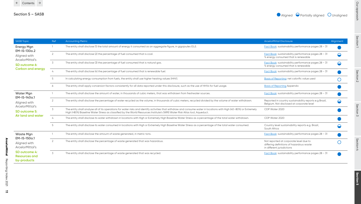| Section   |
|-----------|
| Section 2 |
| Section 3 |

| <b>SASB Topic</b>                                                                                          | Ref | <b>Accounting Metric</b>                                                                                                                                                                                                                                                                         | <b>ArcelorMittal Disclosure</b>                                                                                  | Alignment         |
|------------------------------------------------------------------------------------------------------------|-----|--------------------------------------------------------------------------------------------------------------------------------------------------------------------------------------------------------------------------------------------------------------------------------------------------|------------------------------------------------------------------------------------------------------------------|-------------------|
| <b>Energy Mgn</b><br>EM-IS-130a.2                                                                          |     | The entity shall disclose (1) the total amount of energy it consumed as an aggregate figure, in gigajoules (GJ).                                                                                                                                                                                 | Fact Book: sustainability performance pages $28 - 31$                                                            |                   |
| Aligned with<br>ArcelorMittal's<br>SD outcome 6:<br><b>Carbon and energy</b>                               |     | The entity shall disclose (2) the percentage of fuel consumed that is coal.                                                                                                                                                                                                                      | Fact Book: sustainability performance pages 28 - 31<br>% energy consumed that is renewable                       | $\bf\bm\bm\omega$ |
|                                                                                                            |     | The entity shall disclose (3) the percentage of fuel consumed that is natural gas.                                                                                                                                                                                                               | Fact Book: sustainability performance pages 28 - 31<br>% energy consumed that is renewable                       | $\mathbf \Theta$  |
|                                                                                                            |     | The entity shall disclose $(4)$ the percentage of fuel consumed that is renewable fuel.                                                                                                                                                                                                          | Fact Book: sustainability performance pages 28 - 31                                                              |                   |
|                                                                                                            |     | In calculating energy consumption from fuels, the entity shall use higher heating values (HHV).                                                                                                                                                                                                  | Basis of Reporting: net calorific value used                                                                     | $\bigcirc$        |
|                                                                                                            | 6   | The entity shall apply conversion factors consistently for all data reported under this disclosure, such as the use of HHVs for fuel usage.                                                                                                                                                      | <b>Basis of Reporting Appendix</b>                                                                               |                   |
| <b>Water Mgn</b><br>EM-IS-140a.1<br>Aligned with<br>ArcelorMittal's<br>SD outcome 5:<br>Air land and water |     | The entity shall disclose the amount of water, in thousands of cubic meters, that was withdrawn from freshwater sources.                                                                                                                                                                         | Fact Book: sustainability performance pages $28 - 31$                                                            |                   |
|                                                                                                            |     | The entity shall disclose the percentage of water recycled as the volume, in thousands of cubic meters, recycled divided by the volume of water withdrawn.                                                                                                                                       | Reported in country sustainability reports e.g Brazil,<br>Belgium. Not disclosed at corporate level              | $\mathbf \Theta$  |
|                                                                                                            | ス   | The entity shall analyse all of its operations for water risks and identify activities that withdraw and consume water in locations with High (40-80%) or Extremely<br>High (>80%) Baseline Water Stress as classified by the World Resources Institute's (WRI) Water Risk Atlas tool, Aqueduct. | CDP Water 2020                                                                                                   |                   |
|                                                                                                            |     | The entity shall disclose its water withdrawn in locations with High or Extremely High Baseline Water Stress as a percentage of the total water withdrawn.                                                                                                                                       | CDP Water 2020                                                                                                   |                   |
|                                                                                                            |     | The entity shall disclose its water consumed in locations with High or Extremely High Baseline Water Stress as a percentage of the total water consumed.                                                                                                                                         | Country level sustainability reports e.g. Brazil,<br>South Africa                                                | $\mathbf\Theta$   |
| <b>Waste Mgn</b><br>EM-IS-150a.1                                                                           |     | The entity shall disclose the amount of waste generated, in metric tons.                                                                                                                                                                                                                         | Fact Book: sustainability performance pages 28 - 31                                                              |                   |
| Aligned with<br>ArcelorMittal's                                                                            |     | The entity shall disclose the percentage of waste generated that was hazardous.                                                                                                                                                                                                                  | Not reported at corporate level due to<br>differing definitions of hazardous waste<br>in different jurisdictions | ◯                 |
| SD outcome 4:<br><b>Resources and</b><br>by-products                                                       | 3   | The entity shall disclose the percentage of waste generated that was recycled.                                                                                                                                                                                                                   | Fact Book: sustainability performance pages 28 - 31                                                              |                   |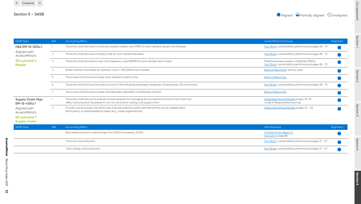| <b>SASB Topic</b>                       | Ref | <b>Accounting Metric</b>                                                                                                                                                                       | <b>ArcelorMittal Disclosure</b>                                                                         | Alignment |
|-----------------------------------------|-----|------------------------------------------------------------------------------------------------------------------------------------------------------------------------------------------------|---------------------------------------------------------------------------------------------------------|-----------|
| H&S EM-IS-320a.1                        |     | The entity shall disclose its total recordable incident rate (TRIR) for work-related injuries and illnesses.                                                                                   | Fact Book: sustainability performance pages 28 - 31                                                     |           |
| Aligned with<br>ArcelorMittal's         |     | The entity shall disclose its fatality rate for work-related fatalities.                                                                                                                       | Fact Book: sustainability performance pages 28 - 31                                                     |           |
| SD outcome 1:<br>People                 |     | The entity shall disclose its near miss frequency rate (NMFR) for work-related near misses.                                                                                                    | Potential severe injuries or fatalities (PSIFs):<br>Fact Book: sustainability performance pages 28 - 31 |           |
|                                         |     | Rates shall be calculated as: (statistic count × 200,000)/hours worked.                                                                                                                        | <b>Basis of Reporting: various used</b>                                                                 |           |
|                                         |     | The scope of disclosure includes work-related incidents only.                                                                                                                                  | <b>Basis of Reporting</b>                                                                               |           |
|                                         |     | The entity shall disclose the rates by each of the following employee categories: (1) employees, (2) contractors.                                                                              | <b>Fact Book:</b> sustainability performance pages $28 - 31$                                            |           |
|                                         |     | The scope of disclosure includes all employees regardless of employee location.                                                                                                                | <b>Basis of Reporting</b>                                                                               |           |
| <b>Supply Chain Mgn</b><br>EM-IS-430a.1 |     | The entity shall discuss its policies and procedures for managing environmental and social risks that may<br>affect sourcing that are present in its iron ore and/or coking coal supply chain. | <b>Integrated Annual Review pages 33, 49</b><br>Code of Responsible Sourcing                            |           |
| Aligned with<br>ArcelorMittal's         |     | If audits are discussed, the entity may indicate whether audits are internal (first party), independent<br>(third party), or administered by peers (e.g., trade organizations).                | Integrated Annual Review pages 32 - 33                                                                  |           |
|                                         |     |                                                                                                                                                                                                |                                                                                                         |           |

| H&S EM-IS-320a.1                        |     | The entity shall disclose its total recordable incident rate (TRIR) for work-related injuries and illnesses.                                                                                   | Fact Book: sustainability performance pages $28 - 31$                                                   |
|-----------------------------------------|-----|------------------------------------------------------------------------------------------------------------------------------------------------------------------------------------------------|---------------------------------------------------------------------------------------------------------|
| Aligned with<br>ArcelorMittal's         | 2   | The entity shall disclose its fatality rate for work-related fatalities.                                                                                                                       | Fact Book: sustainability performance pages 28 - 31                                                     |
| SD outcome 1:<br>People                 |     | The entity shall disclose its near miss frequency rate (NMFR) for work-related near misses.                                                                                                    | Potential severe injuries or fatalities (PSIFs):<br>Fact Book: sustainability performance pages 28 - 31 |
|                                         |     | Rates shall be calculated as: (statistic count × 200,000)/hours worked.                                                                                                                        | <b>Basis of Reporting: various used</b>                                                                 |
|                                         |     | The scope of disclosure includes work-related incidents only.                                                                                                                                  | <b>Basis of Reporting</b>                                                                               |
|                                         |     | The entity shall disclose the rates by each of the following employee categories: (1) employees, (2) contractors.                                                                              | Fact Book: sustainability performance pages $28 - 31$                                                   |
|                                         |     | The scope of disclosure includes all employees regardless of employee location.                                                                                                                | <b>Basis of Reporting</b>                                                                               |
| <b>Supply Chain Mgn</b><br>EM-IS-430a.1 |     | The entity shall discuss its policies and procedures for managing environmental and social risks that may<br>affect sourcing that are present in its iron ore and/or coking coal supply chain. | Integrated Annual Review pages 33, 49<br>Code of Responsible Sourcing                                   |
| Aligned with<br>ArcelorMittal's         |     | If audits are discussed, the entity may indicate whether audits are internal (first party), independent<br>(third party), or administered by peers (e.g., trade organizations).                | Integrated Annual Review pages 32 - 33                                                                  |
| SD outcome 7:<br><b>Supply chains</b>   |     |                                                                                                                                                                                                |                                                                                                         |
| <b>SASB Topic</b>                       | Ref | <b>Accounting Metric</b>                                                                                                                                                                       | <b>AM Disclosure</b><br>Alignment                                                                       |
|                                         |     | Raw steel production, percentage from (1) BOF processes, (2) EAF.                                                                                                                              | <b>Climate Action Report 2</b><br>Form 20-F page 88                                                     |
|                                         |     | Total iron ore production.                                                                                                                                                                     | Fact Book: sustainability performance pages 21 - 27                                                     |
|                                         |     |                                                                                                                                                                                                |                                                                                                         |

Total coking coal production. [Fact Book: sustainability performance](https://corporate-media.arcelormittal.com/media/vrtbb3jj/arcelor-mittal-fact-book-2021.pdf) pages 21 – 27